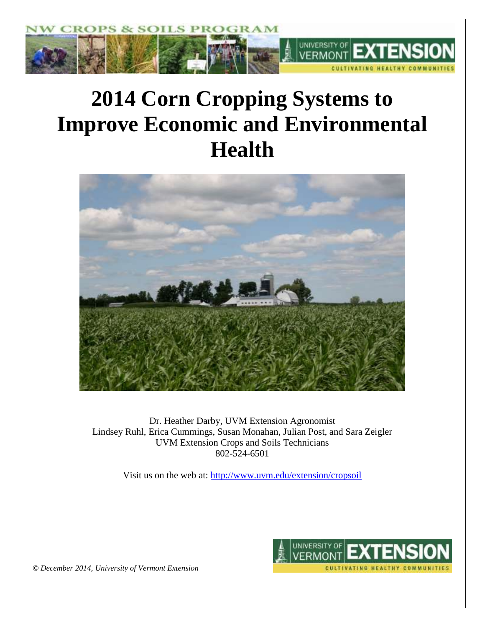

# **2014 Corn Cropping Systems to Improve Economic and Environmental Health**



Dr. Heather Darby, UVM Extension Agronomist Lindsey Ruhl, Erica Cummings, Susan Monahan, Julian Post, and Sara Zeigler UVM Extension Crops and Soils Technicians 802-524-6501

Visit us on the web at: <http://www.uvm.edu/extension/cropsoil>



*© December 2014, University of Vermont Extension*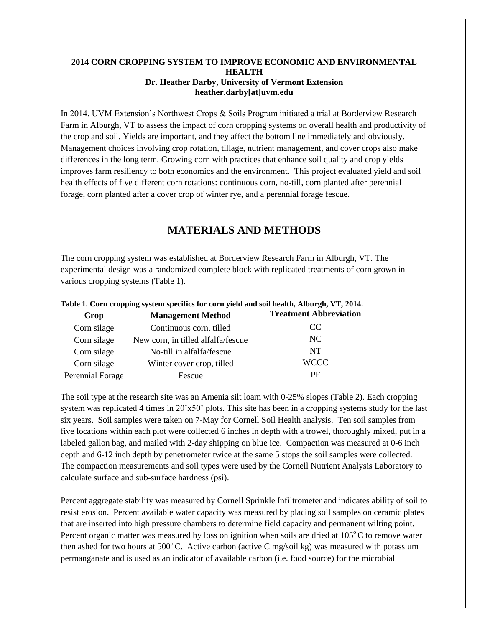#### **2014 CORN CROPPING SYSTEM TO IMPROVE ECONOMIC AND ENVIRONMENTAL HEALTH Dr. Heather Darby, University of Vermont Extension heather.darby[at]uvm.edu**

In 2014, UVM Extension's Northwest Crops & Soils Program initiated a trial at Borderview Research Farm in Alburgh, VT to assess the impact of corn cropping systems on overall health and productivity of the crop and soil. Yields are important, and they affect the bottom line immediately and obviously. Management choices involving crop rotation, tillage, nutrient management, and cover crops also make differences in the long term. Growing corn with practices that enhance soil quality and crop yields improves farm resiliency to both economics and the environment. This project evaluated yield and soil health effects of five different corn rotations: continuous corn, no-till, corn planted after perennial forage, corn planted after a cover crop of winter rye, and a perennial forage fescue.

## **MATERIALS AND METHODS**

The corn cropping system was established at Borderview Research Farm in Alburgh, VT. The experimental design was a randomized complete block with replicated treatments of corn grown in various cropping systems (Table 1).

| Crop             | <b>Management Method</b>           | <b>Treatment Abbreviation</b> |
|------------------|------------------------------------|-------------------------------|
| Corn silage      | Continuous corn, tilled            | CC.                           |
| Corn silage      | New corn, in tilled alfalfa/fescue | NC.                           |
| Corn silage      | No-till in alfalfa/fescue          | NT                            |
| Corn silage      | Winter cover crop, tilled          | <b>WCCC</b>                   |
| Perennial Forage | Fescue                             | PF                            |

**Table 1. Corn cropping system specifics for corn yield and soil health, Alburgh, VT, 2014.**

The soil type at the research site was an Amenia silt loam with 0-25% slopes (Table 2). Each cropping system was replicated 4 times in 20'x50' plots. This site has been in a cropping systems study for the last six years. Soil samples were taken on 7-May for Cornell Soil Health analysis. Ten soil samples from five locations within each plot were collected 6 inches in depth with a trowel, thoroughly mixed, put in a labeled gallon bag, and mailed with 2-day shipping on blue ice. Compaction was measured at 0-6 inch depth and 6-12 inch depth by penetrometer twice at the same 5 stops the soil samples were collected. The compaction measurements and soil types were used by the Cornell Nutrient Analysis Laboratory to calculate surface and sub-surface hardness (psi).

Percent aggregate stability was measured by Cornell Sprinkle Infiltrometer and indicates ability of soil to resist erosion. Percent available water capacity was measured by placing soil samples on ceramic plates that are inserted into high pressure chambers to determine field capacity and permanent wilting point. Percent organic matter was measured by loss on ignition when soils are dried at  $105^{\circ}$ C to remove water then ashed for two hours at  $500^{\circ}$ C. Active carbon (active C mg/soil kg) was measured with potassium permanganate and is used as an indicator of available carbon (i.e. food source) for the microbial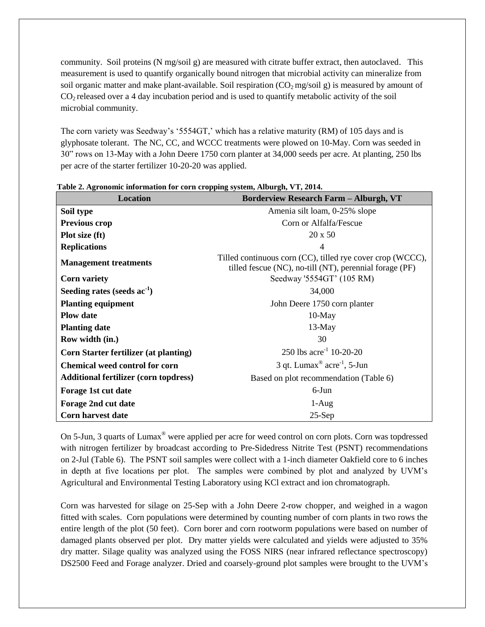community. Soil proteins (N mg/soil g) are measured with citrate buffer extract, then autoclaved. This measurement is used to quantify organically bound nitrogen that microbial activity can mineralize from soil organic matter and make plant-available. Soil respiration  $(CO<sub>2</sub> m g/sol g)$  is measured by amount of CO2 released over a 4 day incubation period and is used to quantify metabolic activity of the soil microbial community.

The corn variety was Seedway's '5554GT,' which has a relative maturity (RM) of 105 days and is glyphosate tolerant. The NC, CC, and WCCC treatments were plowed on 10-May. Corn was seeded in 30" rows on 13-May with a John Deere 1750 corn planter at 34,000 seeds per acre. At planting, 250 lbs per acre of the starter fertilizer 10-20-20 was applied.

| <b>Location</b>                              | <b>Borderview Research Farm - Alburgh, VT</b>                                                                         |
|----------------------------------------------|-----------------------------------------------------------------------------------------------------------------------|
| Soil type                                    | Amenia silt loam, 0-25% slope                                                                                         |
| <b>Previous crop</b>                         | Corn or Alfalfa/Fescue                                                                                                |
| Plot size (ft)                               | $20 \times 50$                                                                                                        |
| <b>Replications</b>                          | $\overline{4}$                                                                                                        |
| <b>Management treatments</b>                 | Tilled continuous corn (CC), tilled rye cover crop (WCCC),<br>tilled fescue (NC), no-till (NT), perennial forage (PF) |
| <b>Corn variety</b>                          | Seedway '5554GT' (105 RM)                                                                                             |
| Seeding rates (seeds $ac^{-1}$ )             | 34,000                                                                                                                |
| <b>Planting equipment</b>                    | John Deere 1750 corn planter                                                                                          |
| <b>Plow</b> date                             | $10$ -May                                                                                                             |
| <b>Planting date</b>                         | $13-May$                                                                                                              |
| Row width (in.)                              | 30                                                                                                                    |
| <b>Corn Starter fertilizer (at planting)</b> | 250 lbs $\arccos 10-20-20$                                                                                            |
| <b>Chemical weed control for corn</b>        | 3 qt. Lumax <sup>®</sup> acre <sup>-1</sup> , 5-Jun                                                                   |
| <b>Additional fertilizer (corn topdress)</b> | Based on plot recommendation (Table 6)                                                                                |
| Forage 1st cut date                          | 6-Jun                                                                                                                 |
| Forage 2nd cut date                          | $1-Aug$                                                                                                               |
| Corn harvest date                            | $25-Sep$                                                                                                              |

**Table 2. Agronomic information for corn cropping system, Alburgh, VT, 2014.**

On 5-Jun, 3 quarts of Lumax® were applied per acre for weed control on corn plots. Corn was topdressed with nitrogen fertilizer by broadcast according to Pre-Sidedress Nitrite Test (PSNT) recommendations on 2-Jul (Table 6). The PSNT soil samples were collect with a 1-inch diameter Oakfield core to 6 inches in depth at five locations per plot. The samples were combined by plot and analyzed by UVM's Agricultural and Environmental Testing Laboratory using KCl extract and ion chromatograph.

Corn was harvested for silage on 25-Sep with a John Deere 2-row chopper, and weighed in a wagon fitted with scales. Corn populations were determined by counting number of corn plants in two rows the entire length of the plot (50 feet). Corn borer and corn rootworm populations were based on number of damaged plants observed per plot. Dry matter yields were calculated and yields were adjusted to 35% dry matter. Silage quality was analyzed using the FOSS NIRS (near infrared reflectance spectroscopy) DS2500 Feed and Forage analyzer. Dried and coarsely-ground plot samples were brought to the UVM's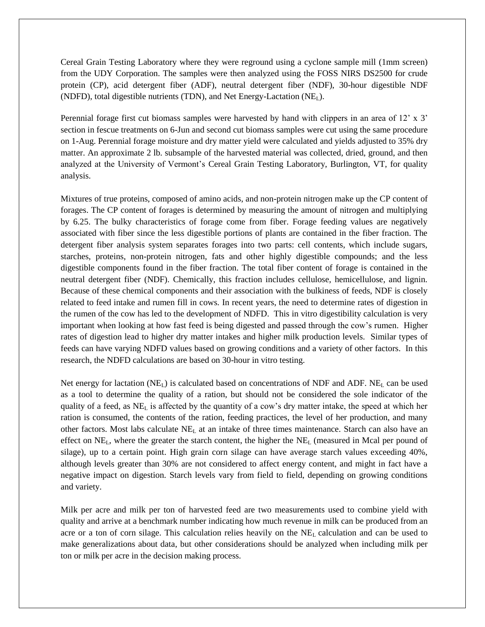Cereal Grain Testing Laboratory where they were reground using a cyclone sample mill (1mm screen) from the UDY Corporation. The samples were then analyzed using the FOSS NIRS DS2500 for crude protein (CP), acid detergent fiber (ADF), neutral detergent fiber (NDF), 30-hour digestible NDF (NDFD), total digestible nutrients (TDN), and Net Energy-Lactation  $(NE_L)$ .

Perennial forage first cut biomass samples were harvested by hand with clippers in an area of 12' x 3' section in fescue treatments on 6-Jun and second cut biomass samples were cut using the same procedure on 1-Aug. Perennial forage moisture and dry matter yield were calculated and yields adjusted to 35% dry matter. An approximate 2 lb. subsample of the harvested material was collected, dried, ground, and then analyzed at the University of Vermont's Cereal Grain Testing Laboratory, Burlington, VT, for quality analysis.

Mixtures of true proteins, composed of amino acids, and non-protein nitrogen make up the CP content of forages. The CP content of forages is determined by measuring the amount of nitrogen and multiplying by 6.25. The bulky characteristics of forage come from fiber. Forage feeding values are negatively associated with fiber since the less digestible portions of plants are contained in the fiber fraction. The detergent fiber analysis system separates forages into two parts: cell contents, which include sugars, starches, proteins, non-protein nitrogen, fats and other highly digestible compounds; and the less digestible components found in the fiber fraction. The total fiber content of forage is contained in the neutral detergent fiber (NDF). Chemically, this fraction includes cellulose, hemicellulose, and lignin. Because of these chemical components and their association with the bulkiness of feeds, NDF is closely related to feed intake and rumen fill in cows. In recent years, the need to determine rates of digestion in the rumen of the cow has led to the development of NDFD. This in vitro digestibility calculation is very important when looking at how fast feed is being digested and passed through the cow's rumen. Higher rates of digestion lead to higher dry matter intakes and higher milk production levels. Similar types of feeds can have varying NDFD values based on growing conditions and a variety of other factors. In this research, the NDFD calculations are based on 30-hour in vitro testing.

Net energy for lactation (NE<sub>L</sub>) is calculated based on concentrations of NDF and ADF. NE<sub>L</sub> can be used as a tool to determine the quality of a ration, but should not be considered the sole indicator of the quality of a feed, as  $NE<sub>L</sub>$  is affected by the quantity of a cow's dry matter intake, the speed at which her ration is consumed, the contents of the ration, feeding practices, the level of her production, and many other factors. Most labs calculate  $NE<sub>L</sub>$  at an intake of three times maintenance. Starch can also have an effect on NEL, where the greater the starch content, the higher the NE<sup>L</sup> (measured in Mcal per pound of silage), up to a certain point. High grain corn silage can have average starch values exceeding 40%, although levels greater than 30% are not considered to affect energy content, and might in fact have a negative impact on digestion. Starch levels vary from field to field, depending on growing conditions and variety.

Milk per acre and milk per ton of harvested feed are two measurements used to combine yield with quality and arrive at a benchmark number indicating how much revenue in milk can be produced from an acre or a ton of corn silage. This calculation relies heavily on the  $NE<sub>L</sub>$  calculation and can be used to make generalizations about data, but other considerations should be analyzed when including milk per ton or milk per acre in the decision making process.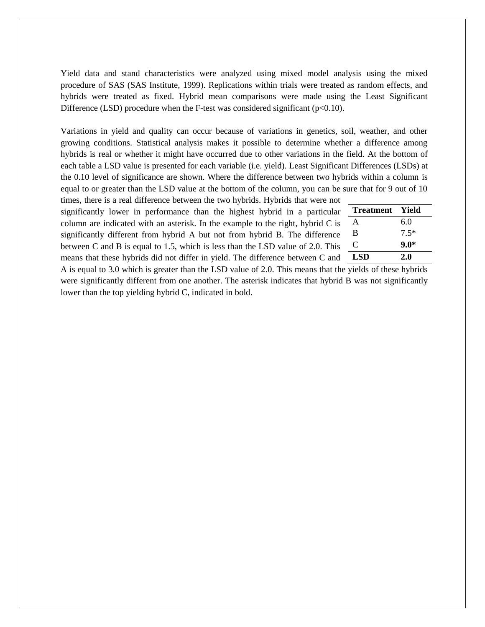Yield data and stand characteristics were analyzed using mixed model analysis using the mixed procedure of SAS (SAS Institute, 1999). Replications within trials were treated as random effects, and hybrids were treated as fixed. Hybrid mean comparisons were made using the Least Significant Difference (LSD) procedure when the F-test was considered significant ( $p<0.10$ ).

Variations in yield and quality can occur because of variations in genetics, soil, weather, and other growing conditions. Statistical analysis makes it possible to determine whether a difference among hybrids is real or whether it might have occurred due to other variations in the field. At the bottom of each table a LSD value is presented for each variable (i.e. yield). Least Significant Differences (LSDs) at the 0.10 level of significance are shown. Where the difference between two hybrids within a column is equal to or greater than the LSD value at the bottom of the column, you can be sure that for 9 out of 10

times, there is a real difference between the two hybrids. Hybrids that were not significantly lower in performance than the highest hybrid in a particular column are indicated with an asterisk. In the example to the right, hybrid C is significantly different from hybrid A but not from hybrid B. The difference between C and B is equal to 1.5, which is less than the LSD value of 2.0. This means that these hybrids did not differ in yield. The difference between C and

| <b>Treatment</b> | Yield  |
|------------------|--------|
| A                | 6.0    |
| B                | $7.5*$ |
| C                | $9.0*$ |
| <b>LSD</b>       | 2.0    |

A is equal to 3.0 which is greater than the LSD value of 2.0. This means that the yields of these hybrids were significantly different from one another. The asterisk indicates that hybrid B was not significantly lower than the top yielding hybrid C, indicated in bold.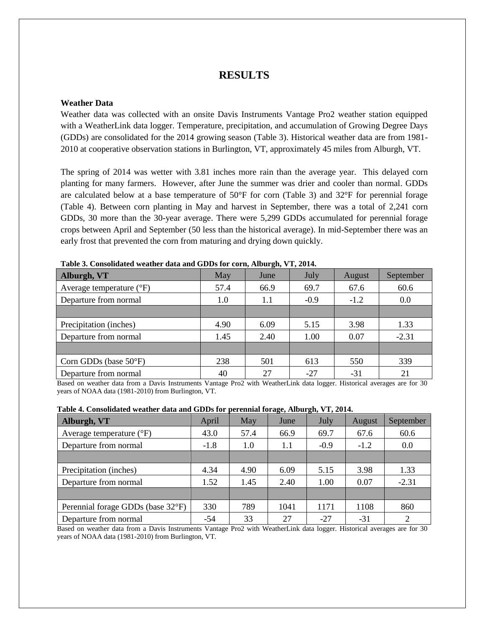## **RESULTS**

#### **Weather Data**

Weather data was collected with an onsite Davis Instruments Vantage Pro2 weather station equipped with a WeatherLink data logger. Temperature, precipitation, and accumulation of Growing Degree Days (GDDs) are consolidated for the 2014 growing season (Table 3). Historical weather data are from 1981- 2010 at cooperative observation stations in Burlington, VT, approximately 45 miles from Alburgh, VT.

The spring of 2014 was wetter with 3.81 inches more rain than the average year. This delayed corn planting for many farmers. However, after June the summer was drier and cooler than normal. GDDs are calculated below at a base temperature of  $50^{\circ}$ F for corn (Table 3) and  $32^{\circ}$ F for perennial forage (Table 4). Between corn planting in May and harvest in September, there was a total of 2,241 corn GDDs, 30 more than the 30-year average. There were 5,299 GDDs accumulated for perennial forage crops between April and September (50 less than the historical average). In mid-September there was an early frost that prevented the corn from maturing and drying down quickly.

| Tubic of Compondance weather agua and ODDs for corng input can y 1, 2017; |      |      |        |        |           |  |  |  |  |  |
|---------------------------------------------------------------------------|------|------|--------|--------|-----------|--|--|--|--|--|
| Alburgh, VT                                                               | May  | June | July   | August | September |  |  |  |  |  |
| Average temperature $({}^{\circ}F)$                                       | 57.4 | 66.9 | 69.7   | 67.6   | 60.6      |  |  |  |  |  |
| Departure from normal                                                     | 1.0  | 1.1  | $-0.9$ | $-1.2$ | 0.0       |  |  |  |  |  |
|                                                                           |      |      |        |        |           |  |  |  |  |  |
| Precipitation (inches)                                                    | 4.90 | 6.09 | 5.15   | 3.98   | 1.33      |  |  |  |  |  |
| Departure from normal                                                     | 1.45 | 2.40 | 1.00   | 0.07   | $-2.31$   |  |  |  |  |  |
|                                                                           |      |      |        |        |           |  |  |  |  |  |
| Corn GDDs (base 50°F)                                                     | 238  | 501  | 613    | 550    | 339       |  |  |  |  |  |
| Departure from normal                                                     | 40   | 27   | $-27$  | $-31$  | 21        |  |  |  |  |  |

**Table 3. Consolidated weather data and GDDs for corn, Alburgh, VT, 2014.**

Based on weather data from a Davis Instruments Vantage Pro2 with WeatherLink data logger. Historical averages are for 30 years of NOAA data (1981-2010) from Burlington, VT.

| Table 4. Consolidated weather data and GDDs for perennial forage, Alburgh, VT, 2014. |  |  |  |  |  |  |  |  |
|--------------------------------------------------------------------------------------|--|--|--|--|--|--|--|--|
|--------------------------------------------------------------------------------------|--|--|--|--|--|--|--|--|

| Alburgh, VT                         | April  | May  | $\bullet$<br>June | $\bullet$<br>July | August | September |
|-------------------------------------|--------|------|-------------------|-------------------|--------|-----------|
| Average temperature $({}^{\circ}F)$ | 43.0   | 57.4 | 66.9              | 69.7              | 67.6   | 60.6      |
| Departure from normal               | $-1.8$ | 1.0  | 1.1               | $-0.9$            | $-1.2$ | 0.0       |
|                                     |        |      |                   |                   |        |           |
| Precipitation (inches)              | 4.34   | 4.90 | 6.09              | 5.15              | 3.98   | 1.33      |
| Departure from normal               | 1.52   | 1.45 | 2.40              | 1.00              | 0.07   | $-2.31$   |
|                                     |        |      |                   |                   |        |           |
| Perennial forage GDDs (base 32°F)   | 330    | 789  | 1041              | 1171              | 1108   | 860       |
| Departure from normal               | $-54$  | 33   | 27                | -27               | $-31$  | 2         |

Based on weather data from a Davis Instruments Vantage Pro2 with WeatherLink data logger. Historical averages are for 30 years of NOAA data (1981-2010) from Burlington, VT.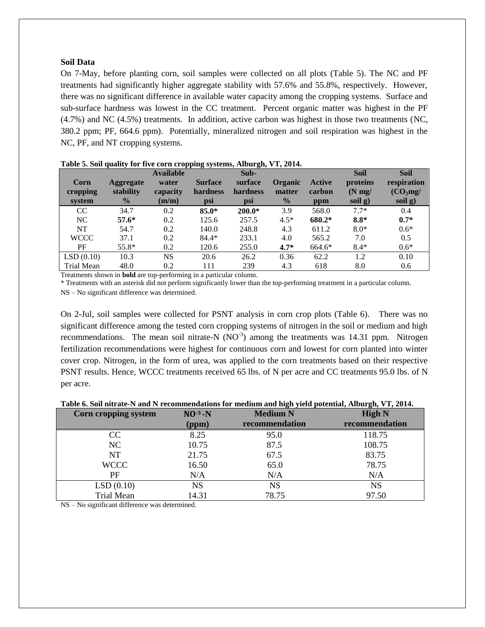#### **Soil Data**

On 7-May, before planting corn, soil samples were collected on all plots (Table 5). The NC and PF treatments had significantly higher aggregate stability with 57.6% and 55.8%, respectively. However, there was no significant difference in available water capacity among the cropping systems. Surface and sub-surface hardness was lowest in the CC treatment. Percent organic matter was highest in the PF (4.7%) and NC (4.5%) treatments. In addition, active carbon was highest in those two treatments (NC, 380.2 ppm; PF, 664.6 ppm). Potentially, mineralized nitrogen and soil respiration was highest in the NC, PF, and NT cropping systems.

|                   |                  | <b>Available</b> | - -            | Sub-     |               |        | <b>Soil</b>      | <b>Soil</b>          |
|-------------------|------------------|------------------|----------------|----------|---------------|--------|------------------|----------------------|
| Corn              | <b>Aggregate</b> | water            | <b>Surface</b> | surface  | Organic       | Active | proteins         | respiration          |
| cropping          | stability        | capacity         | hardness       | hardness | matter        | carbon | $(N \text{ mg})$ | (CO <sub>2</sub> mg) |
| system            | $\frac{0}{0}$    | (m/m)            | psi            | psi      | $\frac{0}{0}$ | ppm    | soil g)          | soil g)              |
| CC                | 34.7             | 0.2              | $85.0*$        | $200.0*$ | 3.9           | 568.0  | $7.7*$           | 0.4                  |
| NC                | $57.6*$          | 0.2              | 125.6          | 257.5    | $4.5*$        | 680.2* | $8.8*$           | $0.7*$               |
| <b>NT</b>         | 54.7             | 0.2              | 140.0          | 248.8    | 4.3           | 611.2  | $8.0*$           | $0.6*$               |
| <b>WCCC</b>       | 37.1             | 0.2              | $84.4*$        | 233.1    | 4.0           | 565.2  | 7.0              | 0.5                  |
| PF                | 55.8*            | 0.2              | 120.6          | 255.0    | $4.7*$        | 664.6* | $8.4*$           | $0.6*$               |
| LSD(0.10)         | 10.3             | <b>NS</b>        | 20.6           | 26.2     | 0.36          | 62.2   | 1.2              | 0.10                 |
| <b>Trial Mean</b> | 48.0             | 0.2              | 111            | 239      | 4.3           | 618    | 8.0              | 0.6                  |

| Table 5. Soil quality for five corn cropping systems, Alburgh, VT, 2014. |  |  |  |  |  |  |  |  |  |
|--------------------------------------------------------------------------|--|--|--|--|--|--|--|--|--|
|--------------------------------------------------------------------------|--|--|--|--|--|--|--|--|--|

Treatments shown in **bold** are top-performing in a particular column.

\* Treatments with an asterisk did not perform significantly lower than the top-performing treatment in a particular column. NS – No significant difference was determined.

On 2-Jul, soil samples were collected for PSNT analysis in corn crop plots (Table 6). There was no significant difference among the tested corn cropping systems of nitrogen in the soil or medium and high recommendations. The mean soil nitrate-N  $(NO^{-3})$  among the treatments was 14.31 ppm. Nitrogen fertilization recommendations were highest for continuous corn and lowest for corn planted into winter cover crop. Nitrogen, in the form of urea, was applied to the corn treatments based on their respective PSNT results. Hence, WCCC treatments received 65 lbs. of N per acre and CC treatments 95.0 lbs. of N per acre.

| Table 6. Soil nitrate-N and N recommendations for medium and high yield potential, Alburgh, VT, 2014. |  |  |  |
|-------------------------------------------------------------------------------------------------------|--|--|--|
|                                                                                                       |  |  |  |

|                      |                 | $\frac{1}{2}$ . The contract the contraction of the contraction of the contract $\frac{1}{2}$ , $\frac{1}{2}$ , $\frac{1}{2}$ , $\frac{1}{2}$ , $\frac{1}{2}$ , $\frac{1}{2}$ , $\frac{1}{2}$ , $\frac{1}{2}$ , $\frac{1}{2}$ , $\frac{1}{2}$ , $\frac{1}{2}$ , $\frac{1}{2}$ , |                |
|----------------------|-----------------|---------------------------------------------------------------------------------------------------------------------------------------------------------------------------------------------------------------------------------------------------------------------------------|----------------|
| Corn cropping system | $NO^{-3}$ - $N$ | <b>Medium N</b>                                                                                                                                                                                                                                                                 | <b>High N</b>  |
|                      | (ppm)           | recommendation                                                                                                                                                                                                                                                                  | recommendation |
| <sub>CC</sub>        | 8.25            | 95.0                                                                                                                                                                                                                                                                            | 118.75         |
| NC                   | 10.75           | 87.5                                                                                                                                                                                                                                                                            | 108.75         |
| <b>NT</b>            | 21.75           | 67.5                                                                                                                                                                                                                                                                            | 83.75          |
| <b>WCCC</b>          | 16.50           | 65.0                                                                                                                                                                                                                                                                            | 78.75          |
| PF                   | N/A             | N/A                                                                                                                                                                                                                                                                             | N/A            |
| LSD(0.10)            | NS              | NS                                                                                                                                                                                                                                                                              | <b>NS</b>      |
| <b>Trial Mean</b>    | 14.31           | 78.75                                                                                                                                                                                                                                                                           | 97.50          |

NS – No significant difference was determined.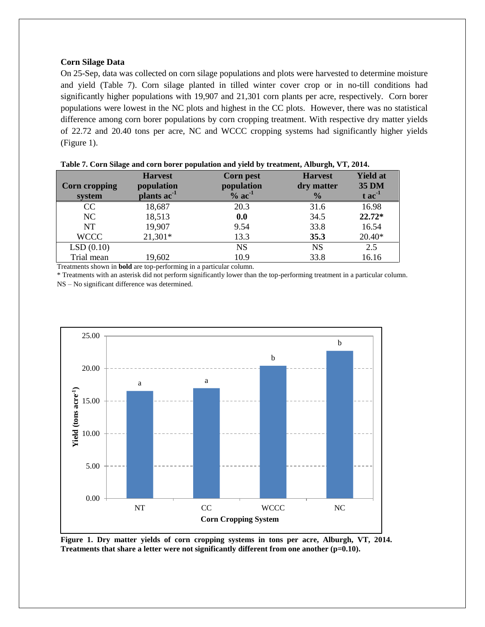#### **Corn Silage Data**

On 25-Sep, data was collected on corn silage populations and plots were harvested to determine moisture and yield (Table 7). Corn silage planted in tilled winter cover crop or in no-till conditions had significantly higher populations with 19,907 and 21,301 corn plants per acre, respectively. Corn borer populations were lowest in the NC plots and highest in the CC plots. However, there was no statistical difference among corn borer populations by corn cropping treatment. With respective dry matter yields of 22.72 and 20.40 tons per acre, NC and WCCC cropping systems had significantly higher yields (Figure 1).

|                      | <b>Harvest</b>          | <b>Corn pest</b>     | <b>Harvest</b> | <b>Yield at</b> |
|----------------------|-------------------------|----------------------|----------------|-----------------|
| <b>Corn cropping</b> | population              | population           | dry matter     | <b>35 DM</b>    |
| system               | plants ac <sup>-1</sup> | $%$ ac <sup>-1</sup> | $\frac{0}{0}$  | $tac-1$         |
| CC                   | 18,687                  | 20.3                 | 31.6           | 16.98           |
| NC                   | 18,513                  | 0.0                  | 34.5           | $22.72*$        |
| <b>NT</b>            | 19,907                  | 9.54                 | 33.8           | 16.54           |
| <b>WCCC</b>          | $21,301*$               | 13.3                 | 35.3           | $20.40*$        |
| LSD(0.10)            |                         | <b>NS</b>            | <b>NS</b>      | 2.5             |
| Trial mean           | 19,602                  | 10.9                 | 33.8           | 16.16           |

| Table 7. Corn Silage and corn borer population and yield by treatment, Alburgh, VT, 2014. |  |  |  |  |
|-------------------------------------------------------------------------------------------|--|--|--|--|
|                                                                                           |  |  |  |  |

Treatments shown in **bold** are top-performing in a particular column.

\* Treatments with an asterisk did not perform significantly lower than the top-performing treatment in a particular column. NS – No significant difference was determined.



**Figure 1. Dry matter yields of corn cropping systems in tons per acre, Alburgh, VT, 2014. Treatments that share a letter were not significantly different from one another (p=0.10).**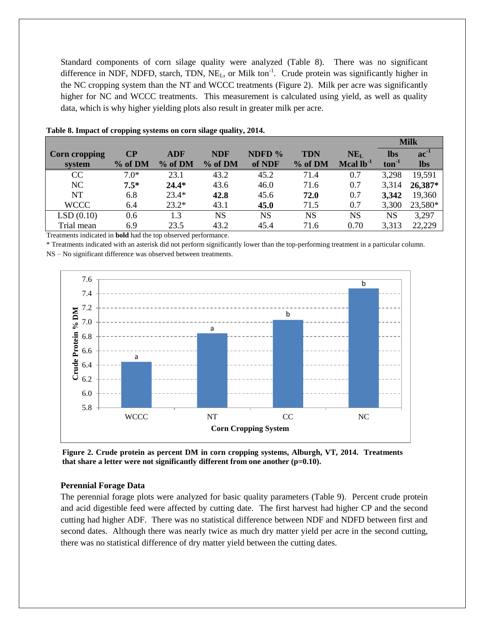Standard components of corn silage quality were analyzed (Table 8). There was no significant difference in NDF, NDFD, starch, TDN, NE<sub>L</sub>, or Milk ton<sup>-1</sup>. Crude protein was significantly higher in the NC cropping system than the NT and WCCC treatments (Figure 2). Milk per acre was significantly higher for NC and WCCC treatments. This measurement is calculated using yield, as well as quality data, which is why higher yielding plots also result in greater milk per acre.

|                      |          |            |            |           |            |                                               |            | <b>Milk</b>   |  |
|----------------------|----------|------------|------------|-----------|------------|-----------------------------------------------|------------|---------------|--|
| <b>Corn cropping</b> | $\bf CP$ | <b>ADF</b> | <b>NDF</b> | NDFD %    | <b>TDN</b> | NE <sub>L</sub>                               | <b>lbs</b> | $ac^{\prime}$ |  |
| system               | % of DM  | % of DM    | % of DM    | of NDF    | % of DM    | $\boldsymbol{\mathrm{Mcal}}$ lb <sup>-1</sup> | $ton-1$    | <b>lbs</b>    |  |
| CC                   | $7.0*$   | 23.1       | 43.2       | 45.2      | 71.4       | 0.7                                           | 3,298      | 19,591        |  |
| NC                   | $7.5*$   | $24.4*$    | 43.6       | 46.0      | 71.6       | 0.7                                           | 3,314      | 26,387*       |  |
| NT                   | 6.8      | $23.4*$    | 42.8       | 45.6      | 72.0       | 0.7                                           | 3,342      | 19,360        |  |
| <b>WCCC</b>          | 6.4      | $23.2*$    | 43.1       | 45.0      | 71.5       | 0.7                                           | 3,300      | 23,580*       |  |
| LSD(0.10)            | 0.6      | 1.3        | NS         | <b>NS</b> | NS         | NS                                            | NS         | 3,297         |  |
| Trial mean           | 6.9      | 23.5       | 43.2       | 45.4      | 71.6       | 0.70                                          | 3,313      | 22,229        |  |
| <br>$\sim$           |          |            |            |           |            |                                               |            |               |  |

#### **Table 8. Impact of cropping systems on corn silage quality, 2014.**

Treatments indicated in **bold** had the top observed performance.

\* Treatments indicated with an asterisk did not perform significantly lower than the top-performing treatment in a particular column. NS – No significant difference was observed between treatments.



**Figure 2. Crude protein as percent DM in corn cropping systems, Alburgh, VT, 2014. Treatments that share a letter were not significantly different from one another (p=0.10).**

#### **Perennial Forage Data**

The perennial forage plots were analyzed for basic quality parameters (Table 9). Percent crude protein and acid digestible feed were affected by cutting date. The first harvest had higher CP and the second cutting had higher ADF. There was no statistical difference between NDF and NDFD between first and second dates. Although there was nearly twice as much dry matter yield per acre in the second cutting, there was no statistical difference of dry matter yield between the cutting dates.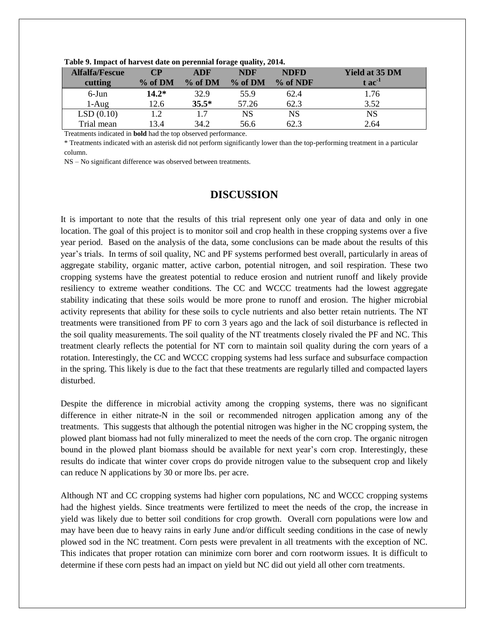| <b>Alfalfa/Fescue</b> | CР      | <b>ADF</b> | <b>NDF</b> | <b>NDFD</b> | <b>Yield at 35 DM</b> |
|-----------------------|---------|------------|------------|-------------|-----------------------|
| cutting               | % of DM | $%$ of DM  | % of DM    | $%$ of NDF  | $tac-1$               |
| 6-Jun                 | $14.2*$ | 32.9       | 55.9       | 62.4        | .76                   |
| $1-Aug$               | 12.6    | $35.5*$    | 57.26      | 62.3        | 3.52                  |
| LSD(0.10)             |         | 17         | NS         | NS          | NS                    |
| Trial mean            | 13.4    | 34.2       | 56.6       | 62.3        | 2.64                  |

**Table 9. Impact of harvest date on perennial forage quality, 2014.**

Treatments indicated in **bold** had the top observed performance.

\* Treatments indicated with an asterisk did not perform significantly lower than the top-performing treatment in a particular column.

NS – No significant difference was observed between treatments.

### **DISCUSSION**

It is important to note that the results of this trial represent only one year of data and only in one location. The goal of this project is to monitor soil and crop health in these cropping systems over a five year period. Based on the analysis of the data, some conclusions can be made about the results of this year's trials. In terms of soil quality, NC and PF systems performed best overall, particularly in areas of aggregate stability, organic matter, active carbon, potential nitrogen, and soil respiration. These two cropping systems have the greatest potential to reduce erosion and nutrient runoff and likely provide resiliency to extreme weather conditions. The CC and WCCC treatments had the lowest aggregate stability indicating that these soils would be more prone to runoff and erosion. The higher microbial activity represents that ability for these soils to cycle nutrients and also better retain nutrients. The NT treatments were transitioned from PF to corn 3 years ago and the lack of soil disturbance is reflected in the soil quality measurements. The soil quality of the NT treatments closely rivaled the PF and NC. This treatment clearly reflects the potential for NT corn to maintain soil quality during the corn years of a rotation. Interestingly, the CC and WCCC cropping systems had less surface and subsurface compaction in the spring. This likely is due to the fact that these treatments are regularly tilled and compacted layers disturbed.

Despite the difference in microbial activity among the cropping systems, there was no significant difference in either nitrate-N in the soil or recommended nitrogen application among any of the treatments. This suggests that although the potential nitrogen was higher in the NC cropping system, the plowed plant biomass had not fully mineralized to meet the needs of the corn crop. The organic nitrogen bound in the plowed plant biomass should be available for next year's corn crop. Interestingly, these results do indicate that winter cover crops do provide nitrogen value to the subsequent crop and likely can reduce N applications by 30 or more lbs. per acre.

Although NT and CC cropping systems had higher corn populations, NC and WCCC cropping systems had the highest yields. Since treatments were fertilized to meet the needs of the crop, the increase in yield was likely due to better soil conditions for crop growth. Overall corn populations were low and may have been due to heavy rains in early June and/or difficult seeding conditions in the case of newly plowed sod in the NC treatment. Corn pests were prevalent in all treatments with the exception of NC. This indicates that proper rotation can minimize corn borer and corn rootworm issues. It is difficult to determine if these corn pests had an impact on yield but NC did out yield all other corn treatments.